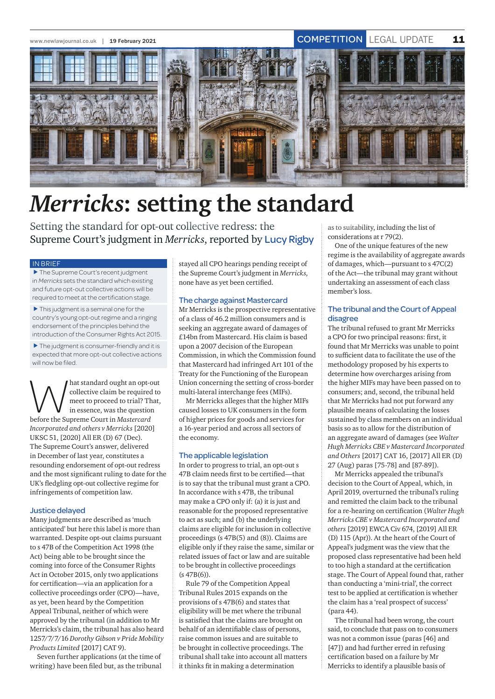

# *Merricks***: setting the standard**

Setting the standard for opt-out collective redress: the Supreme Court's judgment in *Merricks*, reported by Lucy Rigby

#### IN BRIEF

 $\blacktriangleright$  The Supreme Court's recent judgment in *Merricks* sets the standard which existing and future opt-out collective actions will be required to meet at the certification stage.

 $\blacktriangleright$  This judgment is a seminal one for the country's young opt-out regime and a ringing endorsement of the principles behind the introduction of the Consumer Rights Act 2015.

 $\blacktriangleright$  The judgment is consumer-friendly and it is expected that more opt-out collective actions will now be filed.

**Mat standard ought an opt-out**<br>
collective claim be required to<br>
meet to proceed to trial? That,<br>
before the Supreme Court in *Mastercard* collective claim be required to meet to proceed to trial? That, in essence, was the question *Incorporated and others v Merricks* [2020] UKSC 51, [2020] All ER (D) 67 (Dec). The Supreme Court's answer, delivered in December of last year, constitutes a resounding endorsement of opt-out redress and the most significant ruling to date for the UK's fledgling opt-out collective regime for infringements of competition law.

#### Justice delayed

Many judgments are described as 'much anticipated' but here this label is more than warranted. Despite opt-out claims pursuant to s 47B of the Competition Act 1998 (the Act) being able to be brought since the coming into force of the Consumer Rights Act in October 2015, only two applications for certification—via an application for a collective proceedings order (CPO)—have, as yet, been heard by the Competition Appeal Tribunal, neither of which were approved by the tribunal (in addition to Mr Merricks's claim, the tribunal has also heard 1257/7/7/16 *Dorothy Gibson v Pride Mobility Products Limited* [2017] CAT 9).

Seven further applications (at the time of writing) have been filed but, as the tribunal

stayed all CPO hearings pending receipt of the Supreme Court's judgment in *Merricks,* none have as yet been certified.

#### The charge against Mastercard

Mr Merricks is the prospective representative of a class of 46.2 million consumers and is seeking an aggregate award of damages of £14bn from Mastercard. His claim is based upon a 2007 decision of the European Commission, in which the Commission found that Mastercard had infringed Art 101 of the Treaty for the Functioning of the European Union concerning the setting of cross-border multi-lateral interchange fees (MIFs).

Mr Merricks alleges that the higher MIFs caused losses to UK consumers in the form of higher prices for goods and services for a 16-year period and across all sectors of the economy.

## The applicable legislation

In order to progress to trial, an opt-out s 47B claim needs first to be certified—that is to say that the tribunal must grant a CPO. In accordance with s 47B, the tribunal may make a CPO only if: (a) it is just and reasonable for the proposed representative to act as such; and (b) the underlying claims are eligible for inclusion in collective proceedings (s 47B(5) and (8)). Claims are eligible only if they raise the same, similar or related issues of fact or law and are suitable to be brought in collective proceedings (s 47B(6)).

Rule 79 of the Competition Appeal Tribunal Rules 2015 expands on the provisions of s 47B(6) and states that eligibility will be met where the tribunal is satisfied that the claims are brought on behalf of an identifiable class of persons, raise common issues and are suitable to be brought in collective proceedings. The tribunal shall take into account all matters it thinks fit in making a determination

as to suitability, including the list of considerations at r 79(2).

One of the unique features of the new regime is the availability of aggregate awards of damages, which—pursuant to s 47C(2) of the Act—the tribunal may grant without undertaking an assessment of each class member's loss.

© iStockphoto/chris2766

### The tribunal and the Court of Appeal disagree

The tribunal refused to grant Mr Merricks a CPO for two principal reasons: first, it found that Mr Merricks was unable to point to sufficient data to facilitate the use of the methodology proposed by his experts to determine how overcharges arising from the higher MIFs may have been passed on to consumers; and, second, the tribunal held that Mr Merricks had not put forward any plausible means of calculating the losses sustained by class members on an individual basis so as to allow for the distribution of an aggregate award of damages (see *Walter Hugh Merricks CBE v Mastercard Incorporated and Others* [2017] CAT 16, [2017] All ER (D) 27 (Aug) paras [75-78] and [87-89]).

Mr Merricks appealed the tribunal's decision to the Court of Appeal, which, in April 2019, overturned the tribunal's ruling and remitted the claim back to the tribunal for a re-hearing on certification (*Walter Hugh Merricks CBE v Mastercard Incorporated and others* [2019] EWCA Civ 674, [2019] All ER (D) 115 (Apr)). At the heart of the Court of Appeal's judgment was the view that the proposed class representative had been held to too high a standard at the certification stage. The Court of Appeal found that, rather than conducting a 'mini-trial', the correct test to be applied at certification is whether the claim has a 'real prospect of success' (para 44).

The tribunal had been wrong, the court said, to conclude that pass on to consumers was not a common issue (paras [46] and [47]) and had further erred in refusing certification based on a failure by Mr Merricks to identify a plausible basis of